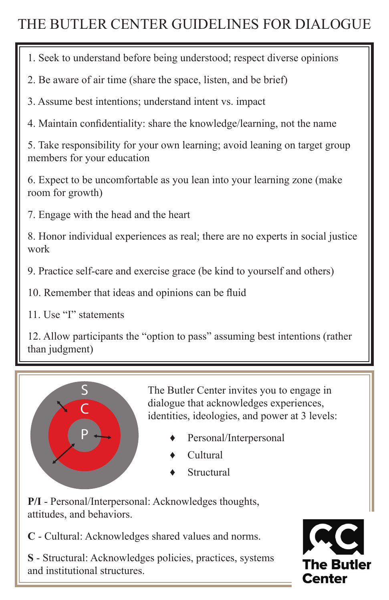# THE BUTLER CENTER GUIDELINES FOR DIALOGUE

1. Seek to understand before being understood; respect diverse opinions

2. Be aware of air time (share the space, listen, and be brief)

3. Assume best intentions; understand intent vs. impact

4. Maintain confidentiality: share the knowledge/learning, not the name

5. Take responsibility for your own learning; avoid leaning on target group members for your education

6. Expect to be uncomfortable as you lean into your learning zone (make room for growth)

7. Engage with the head and the heart

8. Honor individual experiences as real; there are no experts in social justice work

9. Practice self-care and exercise grace (be kind to yourself and others)

10. Remember that ideas and opinions can be fluid

11. Use "I" statements

12. Allow participants the "option to pass" assuming best intentions (rather than judgment)



The Butler Center invites you to engage in dialogue that acknowledges experiences, identities, ideologies, and power at 3 levels:

- Personal/Interpersonal
- Cultural
- **Structural**

**P/I** - Personal/Interpersonal: Acknowledges thoughts, attitudes, and behaviors.

**C** - Cultural: Acknowledges shared values and norms.

**S** - Structural: Acknowledges policies, practices, systems and institutional structures.